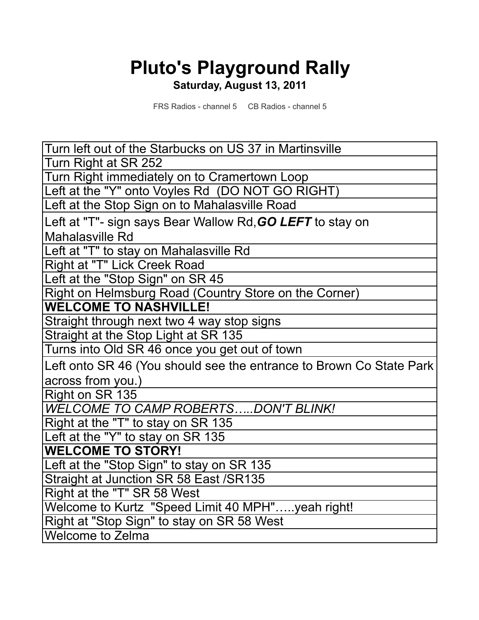## **Pluto's Playground Rally Saturday, August 13, 2011**

FRS Radios - channel 5 CB Radios - channel 5

Turn left out of the Starbucks on US 37 in Martinsville Turn Right at SR 252 Turn Right immediately on to Cramertown Loop Left at the "Y" onto Voyles Rd (DO NOT GO RIGHT) Left at the Stop Sign on to Mahalasville Road Left at "T"- sign says Bear Wallow Rd,*GO LEFT* to stay on Mahalasville Rd Left at "T" to stay on Mahalasville Rd Right at "T" Lick Creek Road Left at the "Stop Sign" on SR 45 Right on Helmsburg Road (Country Store on the Corner) **WELCOME TO NASHVILLE!** Straight through next two 4 way stop signs Straight at the Stop Light at SR 135 Turns into Old SR 46 once you get out of town Left onto SR 46 (You should see the entrance to Brown Co State Park across from you.) Right on SR 135 *WELCOME TO CAMP ROBERTS…..DON'T BLINK!* Right at the "T" to stay on SR 135 Left at the "Y" to stay on SR 135 **WELCOME TO STORY!** Left at the "Stop Sign" to stay on SR 135 Straight at Junction SR 58 East /SR135 Right at the "T" SR 58 West Welcome to Kurtz "Speed Limit 40 MPH"…..yeah right! Right at "Stop Sign" to stay on SR 58 West Welcome to Zelma